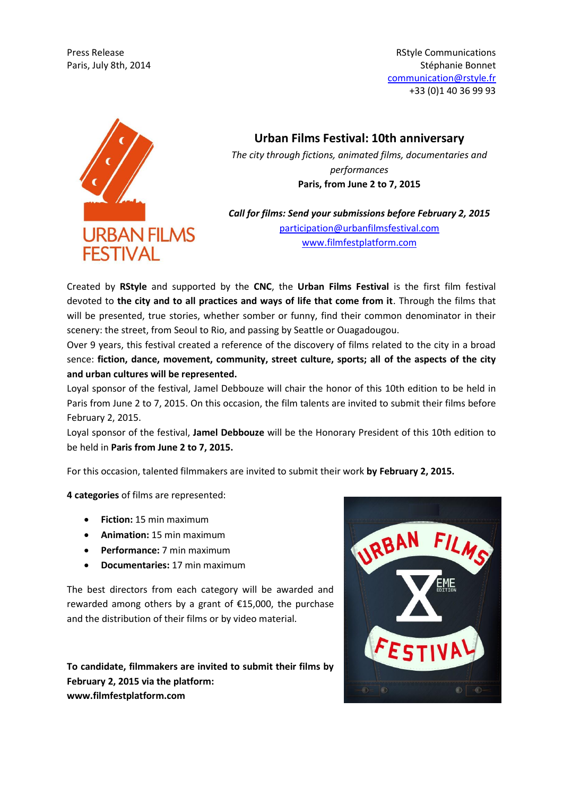Press Release **Release** Release Release Release RStyle Communications **RStyle Communications** Paris, July 8th, 2014 **Stephanie Bonnet** Bonnet Bonnet Bonnet Bonnet Bonnet Bonnet Bonnet Bonnet Bonnet Bonnet Bonnet Bonnet Bonnet Bonnet Bonnet Bonnet Bonnet Bonnet Bonnet Bonnet Bonnet Bonnet Bonnet Bonnet Bonnet Bonnet communication@rstyle.fr +33 (0)1 40 36 99 93



**Urban Films Festival: 10th anniversary**

*The city through fictions, animated films, documentaries and performances* **Paris, from June 2 to 7, 2015**

*Call for films: Send your submissions before February 2, 2015* [participation@urbanfilmsfestival.com](mailto:participation@urbanfilmsfestival.com) [www.filmfestplatform.com](http://www.filmfestplatform.com/)

Created by **RStyle** and supported by the **CNC**, the **Urban Films Festival** is the first film festival devoted to **the city and to all practices and ways of life that come from it**. Through the films that will be presented, true stories, whether somber or funny, find their common denominator in their scenery: the street, from Seoul to Rio, and passing by Seattle or Ouagadougou.

Over 9 years, this festival created a reference of the discovery of films related to the city in a broad sence: **fiction, dance, movement, community, street culture, sports; all of the aspects of the city and urban cultures will be represented.** 

Loyal sponsor of the festival, Jamel Debbouze will chair the honor of this 10th edition to be held in Paris from June 2 to 7, 2015. On this occasion, the film talents are invited to submit their films before February 2, 2015.

Loyal sponsor of the festival, **Jamel Debbouze** will be the Honorary President of this 10th edition to be held in **Paris from June 2 to 7, 2015.**

For this occasion, talented filmmakers are invited to submit their work **by February 2, 2015.**

**4 categories** of films are represented:

- **Fiction:** 15 min maximum
- **Animation:** 15 min maximum
- **Performance:** 7 min maximum
- **Documentaries:** 17 min maximum

The best directors from each category will be awarded and rewarded among others by a grant of €15,000, the purchase and the distribution of their films or by video material.

**To candidate, filmmakers are invited to submit their films by February 2, 2015 via the platform: www.filmfestplatform.com**